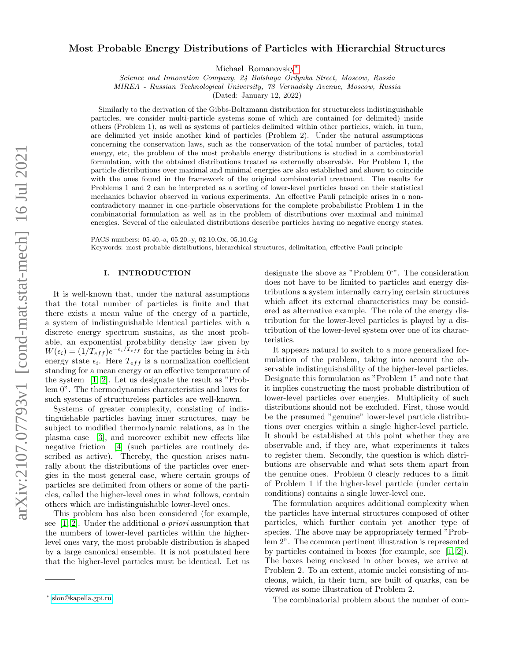# Most Probable Energy Distributions of Particles with Hierarchial Structures

Michael Romanovsky[∗](#page-0-0)

Science and Innovation Company, 24 Bolshaya Ordynka Street, Moscow, Russia

MIREA - Russian Technological University, 78 Vernadsky Avenue, Moscow, Russia

(Dated: January 12, 2022)

Similarly to the derivation of the Gibbs-Boltzmann distribution for structureless indistinguishable particles, we consider multi-particle systems some of which are contained (or delimited) inside others (Problem 1), as well as systems of particles delimited within other particles, which, in turn, are delimited yet inside another kind of particles (Problem 2). Under the natural assumptions concerning the conservation laws, such as the conservation of the total number of particles, total energy, etc, the problem of the most probable energy distributions is studied in a combinatorial formulation, with the obtained distributions treated as externally observable. For Problem 1, the particle distributions over maximal and minimal energies are also established and shown to coincide with the ones found in the framework of the original combinatorial treatment. The results for Problems 1 and 2 can be interpreted as a sorting of lower-level particles based on their statistical mechanics behavior observed in various experiments. An effective Pauli principle arises in a noncontradictory manner in one-particle observations for the complete probabilistic Problem 1 in the combinatorial formulation as well as in the problem of distributions over maximal and minimal energies. Several of the calculated distributions describe particles having no negative energy states.

PACS numbers: 05.40.-a, 05.20.-y, 02.10.Ox, 05.10.Gg

Keywords: most probable distributions, hierarchical structures, delimitation, effective Pauli principle

# I. INTRODUCTION

It is well-known that, under the natural assumptions that the total number of particles is finite and that there exists a mean value of the energy of a particle, a system of indistinguishable identical particles with a discrete energy spectrum sustains, as the most probable, an exponential probability density law given by  $W(\epsilon_i) = (1/T_{eff})e^{-\epsilon_i/T_{eff}}$  for the particles being in *i*-th energy state  $\epsilon_i$ . Here  $T_{eff}$  is a normalization coefficient standing for a mean energy or an effective temperature of the system [\[1,](#page-9-0) [2\]](#page-9-1). Let us designate the result as "Problem 0". The thermodynamics characteristics and laws for such systems of structureless particles are well-known.

Systems of greater complexity, consisting of indistinguishable particles having inner structures, may be subject to modified thermodynamic relations, as in the plasma case [\[3\]](#page-9-2), and moreover exhibit new effects like negative friction [\[4\]](#page-9-3) (such particles are routinely described as active). Thereby, the question arises naturally about the distributions of the particles over energies in the most general case, where certain groups of particles are delimited from others or some of the particles, called the higher-level ones in what follows, contain others which are indistinguishable lower-level ones.

This problem has also been considered (for example, see  $[1, 2]$  $[1, 2]$ . Under the additional a priori assumption that the numbers of lower-level particles within the higherlevel ones vary, the most probable distribution is shaped by a large canonical ensemble. It is not postulated here that the higher-level particles must be identical. Let us designate the above as "Problem 0'". The consideration does not have to be limited to particles and energy distributions a system internally carrying certain structures which affect its external characteristics may be considered as alternative example. The role of the energy distribution for the lower-level particles is played by a distribution of the lower-level system over one of its characteristics.

It appears natural to switch to a more generalized formulation of the problem, taking into account the observable indistinguishability of the higher-level particles. Designate this formulation as "Problem 1" and note that it implies constructing the most probable distribution of lower-level particles over energies. Multiplicity of such distributions should not be excluded. First, those would be the presumed "genuine" lower-level particle distributions over energies within a single higher-level particle. It should be established at this point whether they are observable and, if they are, what experiments it takes to register them. Secondly, the question is which distributions are observable and what sets them apart from the genuine ones. Problem 0 clearly reduces to a limit of Problem 1 if the higher-level particle (under certain conditions) contains a single lower-level one.

The formulation acquires additional complexity when the particles have internal structures composed of other particles, which further contain yet another type of species. The above may be appropriately termed "Problem 2". The common pertinent illustration is represented by particles contained in boxes (for example, see [\[1,](#page-9-0) [2\]](#page-9-1)). The boxes being enclosed in other boxes, we arrive at Problem 2. To an extent, atomic nuclei consisting of nucleons, which, in their turn, are built of quarks, can be viewed as some illustration of Problem 2.

The combinatorial problem about the number of com-

<span id="page-0-0"></span><sup>∗</sup> [slon@kapella.gpi.ru](mailto:slon@kapella.gpi.ru)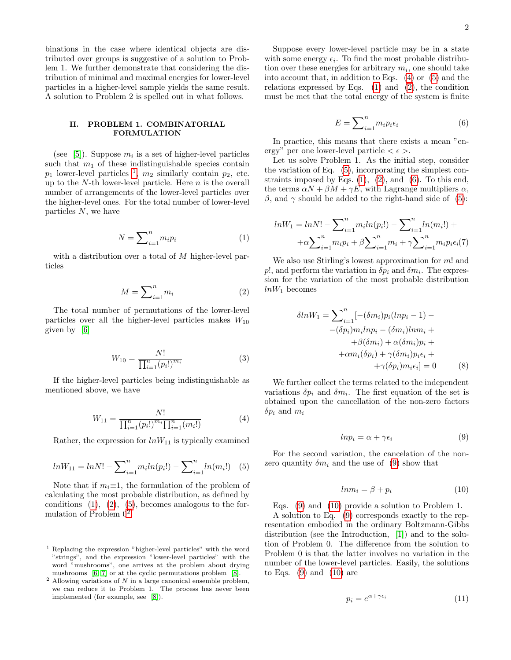binations in the case where identical objects are distributed over groups is suggestive of a solution to Problem 1. We further demonstrate that considering the distribution of minimal and maximal energies for lower-level particles in a higher-level sample yields the same result. A solution to Problem 2 is spelled out in what follows.

## II. PROBLEM 1. COMBINATORIAL FORMULATION

(see [\[5\]](#page-9-4)). Suppose  $m_i$  is a set of higher-level particles such that  $m_1$  of these indistinguishable species contain  $p_1$  $p_1$  lower-level particles <sup>1</sup>,  $m_2$  similarly contain  $p_2$ , etc. up to the  $N$ -th lower-level particle. Here  $n$  is the overall number of arrangements of the lower-level particles over the higher-level ones. For the total number of lower-level particles N, we have

<span id="page-1-1"></span>
$$
N = \sum_{i=1}^{n} m_i p_i \tag{1}
$$

with a distribution over a total of M higher-level particles

<span id="page-1-2"></span>
$$
M = \sum_{i=1}^{n} m_i \tag{2}
$$

The total number of permutations of the lower-level particles over all the higher-level particles makes  $W_{10}$ given by [\[6\]](#page-9-5)

$$
W_{10} = \frac{N!}{\prod_{i=1}^{n} (p_i!)^{m_i}}
$$
 (3)

If the higher-level particles being indistinguishable as mentioned above, we have

<span id="page-1-5"></span>
$$
W_{11} = \frac{N!}{\prod_{i=1}^{n} (p_i!)^{m_i} \prod_{i=1}^{n} (m_i!)}
$$
 (4)

Rather, the expression for  $lnW_{11}$  is typically examined

<span id="page-1-3"></span>
$$
lnW_{11} = lnN! - \sum_{i=1}^{n} m_i ln(p_i!) - \sum_{i=1}^{n} ln(m_i!) \quad (5)
$$

Note that if  $m_i \equiv 1$ , the formulation of the problem of calculating the most probable distribution, as defined by conditions  $(1)$ ,  $(2)$ ,  $(5)$ , becomes analogous to the formulation of Problem  $0^2$  $0^2$ .

Suppose every lower-level particle may be in a state with some energy  $\epsilon_i$ . To find the most probable distribution over these energies for arbitrary  $m_i$ , one should take into account that, in addition to Eqs. [\(4\)](#page-1-5) or [\(5\)](#page-1-3) and the relations expressed by Eqs. [\(1\)](#page-1-1) and [\(2\)](#page-1-2), the condition must be met that the total energy of the system is finite

<span id="page-1-6"></span>
$$
E = \sum_{i=1}^{n} m_i p_i \epsilon_i \tag{6}
$$

In practice, this means that there exists a mean "energy" per one lower-level particle  $\lt \epsilon$ .

Let us solve Problem 1. As the initial step, consider the variation of Eq. [\(5\)](#page-1-3), incorporating the simplest constraints imposed by Eqs.  $(1)$ ,  $(2)$ , and  $(6)$ . To this end, the terms  $\alpha N + \beta M + \gamma E$ , with Lagrange multipliers  $\alpha$ ,  $β$ , and γ should be added to the right-hand side of [\(5\)](#page-1-3):

$$
ln W_1 = ln N! - \sum_{i=1}^{n} m_i ln(p_i!) - \sum_{i=1}^{n} ln(m_i!) + \newline + \alpha \sum_{i=1}^{n} m_i p_i + \beta \sum_{i=1}^{n} m_i + \gamma \sum_{i=1}^{n} m_i p_i \epsilon_i(7)
$$

We also use Stirling's lowest approximation for  $m!$  and p!, and perform the variation in  $\delta p_i$  and  $\delta m_i$ . The expression for the variation of the most probable distribution  $lnW_1$  becomes

<span id="page-1-9"></span>
$$
\delta lnW_1 = \sum_{i=1}^n [-(\delta m_i)p_i(lnp_i - 1) - (\delta p_i)m_ilnp_i - (\delta m_i)lnm_i + + \beta(\delta m_i) + \alpha(\delta m_i)p_i + + \alpha m_i(\delta p_i) + \gamma(\delta m_i)p_i\epsilon_i + + \gamma(\delta p_i)m_i\epsilon_i] = 0
$$
 (8)

We further collect the terms related to the independent variations  $\delta p_i$  and  $\delta m_i$ . The first equation of the set is obtained upon the cancellation of the non-zero factors  $\delta p_i$  and  $m_i$ 

<span id="page-1-7"></span>
$$
ln p_i = \alpha + \gamma \epsilon_i \tag{9}
$$

For the second variation, the cancelation of the nonzero quantity  $\delta m_i$  and the use of [\(9\)](#page-1-7) show that

<span id="page-1-8"></span>
$$
ln m_i = \beta + p_i \tag{10}
$$

Eqs. [\(9\)](#page-1-7) and [\(10\)](#page-1-8) provide a solution to Problem 1.

A solution to Eq. [\(9\)](#page-1-7) corresponds exactly to the representation embodied in the ordinary Boltzmann-Gibbs distribution (see the Introduction, [\[1\]](#page-9-0)) and to the solution of Problem 0. The difference from the solution to Problem 0 is that the latter involves no variation in the number of the lower-level particles. Easily, the solutions to Eqs.  $(9)$  and  $(10)$  are

$$
p_i = e^{\alpha + \gamma \epsilon_i} \tag{11}
$$

<span id="page-1-0"></span><sup>1</sup> Replacing the expression "higher-level particles" with the word "strings", and the expression "lower-level particles" with the word "mushrooms", one arrives at the problem about drying mushrooms [\[6,](#page-9-5) [7\]](#page-9-6) or at the cyclic permutations problem [\[8\]](#page-9-7).

<span id="page-1-4"></span> $2$  Allowing variations of  $N$  in a large canonical ensemble problem, we can reduce it to Problem 1. The process has never been implemented (for example, see [\[8\]](#page-9-7)).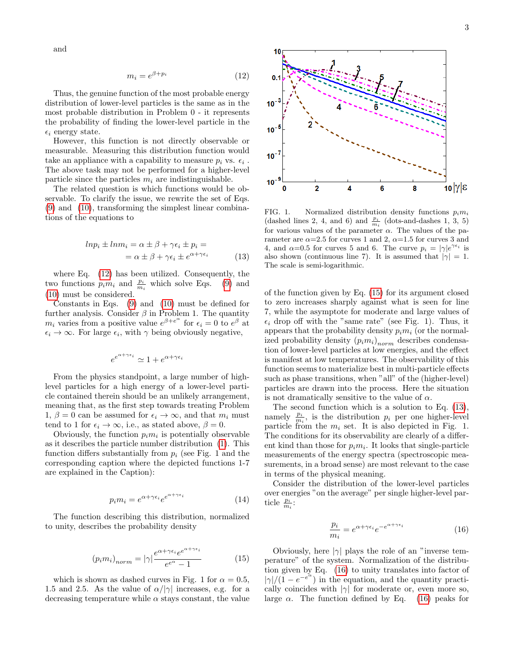and

<span id="page-2-0"></span>
$$
m_i = e^{\beta + p_i} \tag{12}
$$

Thus, the genuine function of the most probable energy distribution of lower-level particles is the same as in the most probable distribution in Problem 0 - it represents the probability of finding the lower-level particle in the  $\epsilon_i$  energy state.

However, this function is not directly observable or measurable. Measuring this distribution function would take an appliance with a capability to measure  $p_i$  vs.  $\epsilon_i$ . The above task may not be performed for a higher-level particle since the particles  $m_i$  are indistinguishable.

The related question is which functions would be observable. To clarify the issue, we rewrite the set of Eqs. [\(9\)](#page-1-7) and [\(10\)](#page-1-8), transforming the simplest linear combinations of the equations to

<span id="page-2-2"></span>
$$
ln p_i \pm l n m_i = \alpha \pm \beta + \gamma \epsilon_i \pm p_i =
$$
  
=  $\alpha \pm \beta + \gamma \epsilon_i \pm e^{\alpha + \gamma \epsilon_i}$  (13)

where Eq. [\(12\)](#page-2-0) has been utilized. Consequently, the two functions  $p_i m_i$  and  $\frac{p_i}{m_i}$  which solve Eqs. [\(9\)](#page-1-7) and [\(10\)](#page-1-8) must be considered.

Constants in Eqs. [\(9\)](#page-1-7) and [\(10\)](#page-1-8) must be defined for further analysis. Consider  $\beta$  in Problem 1. The quantity  $m_i$  varies from a positive value  $e^{\beta + e^{\alpha}}$  for  $\epsilon_i = 0$  to  $e^{\beta}$  at  $\epsilon_i \to \infty$ . For large  $\epsilon_i$ , with  $\gamma$  being obviously negative,

$$
e^{e^{\alpha + \gamma \epsilon_i}} \simeq 1 + e^{\alpha + \gamma \epsilon_i}
$$

From the physics standpoint, a large number of highlevel particles for a high energy of a lower-level particle contained therein should be an unlikely arrangement, meaning that, as the first step towards treating Problem 1,  $\beta = 0$  can be assumed for  $\epsilon_i \to \infty$ , and that  $m_i$  must tend to 1 for  $\epsilon_i \to \infty$ , i.e., as stated above,  $\beta = 0$ .

Obviously, the function  $p_i m_i$  is potentially observable as it describes the particle number distribution [\(1\)](#page-1-1). This function differs substantially from  $p_i$  (see Fig. 1 and the corresponding caption where the depicted functions 1-7 are explained in the Caption):

$$
p_i m_i = e^{\alpha + \gamma \epsilon_i} e^{e^{\alpha + \gamma \epsilon_i}} \tag{14}
$$

The function describing this distribution, normalized to unity, describes the probability density

<span id="page-2-1"></span>
$$
(p_i m_i)_{norm} = |\gamma| \frac{e^{\alpha + \gamma \epsilon_i} e^{e^{\alpha + \gamma \epsilon_i}}}{e^{e^{\alpha}} - 1}
$$
 (15)

which is shown as dashed curves in Fig. 1 for  $\alpha = 0.5$ , 1.5 and 2.5. As the value of  $\alpha/|\gamma|$  increases, e.g. for a decreasing temperature while  $\alpha$  stays constant, the value





FIG. 1. Normalized distribution density functions  $p_i m_i$ (dashed lines 2, 4, and 6) and  $\frac{p_i}{m_i}$  (dots-and-dashes 1, 3, 5) for various values of the parameter  $\alpha$ . The values of the parameter are  $\alpha$ =2.5 for curves 1 and 2,  $\alpha$ =1.5 for curves 3 and 4, and  $\alpha=0.5$  for curves 5 and 6. The curve  $p_i = |\gamma|e^{\gamma \epsilon_i}$  is also shown (continuous line 7). It is assumed that  $|\gamma|=1$ . The scale is semi-logarithmic.

of the function given by Eq. [\(15\)](#page-2-1) for its argument closed to zero increases sharply against what is seen for line 7, while the asymptote for moderate and large values of  $\epsilon_i$  drop off with the "same rate" (see Fig. 1). Thus, it appears that the probability density  $p_i m_i$  (or the normalized probability density  $(p_i m_i)_{norm}$  describes condensation of lower-level particles at low energies, and the effect is manifest at low temperatures. The observability of this function seems to materialize best in multi-particle effects such as phase transitions, when "all" of the (higher-level) particles are drawn into the process. Here the situation is not dramatically sensitive to the value of  $\alpha$ .

The second function which is a solution to Eq. [\(13\)](#page-2-2), namely  $\frac{p_i}{m_i}$ , is the distribution  $p_i$  per one higher-level particle from the  $m_i$  set. It is also depicted in Fig. 1. The conditions for its observability are clearly of a different kind than those for  $p_i m_i$ . It looks that single-particle measurements of the energy spectra (spectroscopic measurements, in a broad sense) are most relevant to the case in terms of the physical meaning.

Consider the distribution of the lower-level particles over energies "on the average" per single higher-level particle  $\frac{p_i}{m_i}$ :

<span id="page-2-3"></span>
$$
\frac{p_i}{m_i} = e^{\alpha + \gamma \epsilon_i} e^{-e^{\alpha + \gamma \epsilon_i}} \tag{16}
$$

Obviously, here  $|\gamma|$  plays the role of an "inverse temperature" of the system. Normalization of the distribution given by Eq. [\(16\)](#page-2-3) to unity translates into factor of  $|\gamma|/(1 - e^{-e^{\alpha}})$  in the equation, and the quantity practically coincides with  $|\gamma|$  for moderate or, even more so, large  $\alpha$ . The function defined by Eq. [\(16\)](#page-2-3) peaks for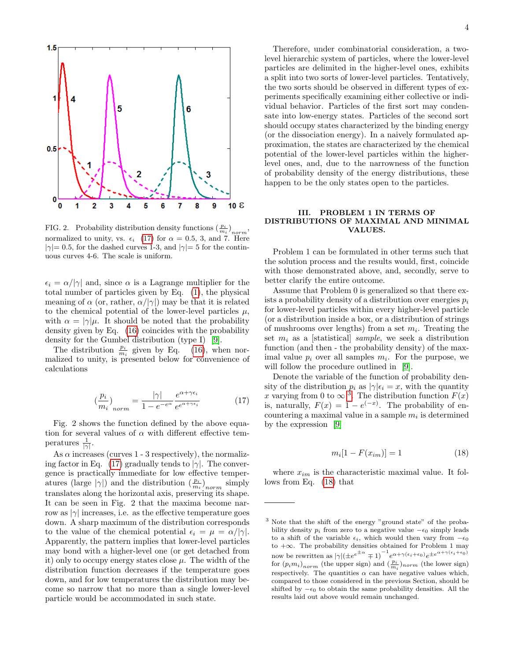

FIG. 2. Probability distribution density functions  $\left(\frac{p_i}{m_i}\right)_{norm}$ , normalized to unity, vs.  $\epsilon_i$  [\(17\)](#page-3-0) for  $\alpha = 0.5, 3,$  and 7. Here  $|\gamma|=0.5$ , for the dashed curves 1-3, and  $|\gamma|=5$  for the continuous curves 4-6. The scale is uniform.

 $\epsilon_i = \alpha/|\gamma|$  and, since  $\alpha$  is a Lagrange multiplier for the total number of particles given by Eq. [\(1\)](#page-1-1), the physical meaning of  $\alpha$  (or, rather,  $\alpha/|\gamma|$ ) may be that it is related to the chemical potential of the lower-level particles  $\mu$ , with  $\alpha = |\gamma|\mu$ . It should be noted that the probability density given by Eq. [\(16\)](#page-2-3) coincides with the probability density for the Gumbel distribution (type I) [\[9\]](#page-9-8).

The distribution  $\frac{p_i}{m_i}$  given by Eq. [\(16\)](#page-2-3), when normalized to unity, is presented below for convenience of calculations

<span id="page-3-0"></span>
$$
\left(\frac{p_i}{m_i}\right)_{norm} = \frac{|\gamma|}{1 - e^{-e^{\alpha}}} \frac{e^{\alpha + \gamma \epsilon_i}}{e^{e^{\alpha + \gamma \epsilon_i}}} \tag{17}
$$

Fig. 2 shows the function defined by the above equation for several values of  $\alpha$  with different effective temperatures  $\frac{1}{|\gamma|}$ .

As  $\alpha$  increases (curves 1 - 3 respectively), the normaliz-ing factor in Eq. [\(17\)](#page-3-0) gradually tends to  $|\gamma|$ . The convergence is practically immediate for low effective temperatures (large  $|\gamma|$ ) and the distribution  $(\frac{p_i}{m_i})_{norm}$  simply translates along the horizontal axis, preserving its shape. It can be seen in Fig. 2 that the maxima become narrow as  $|\gamma|$  increases, i.e. as the effective temperature goes down. A sharp maximum of the distribution corresponds to the value of the chemical potential  $\epsilon_i = \mu = \alpha/|\gamma|$ . Apparently, the pattern implies that lower-level particles may bond with a higher-level one (or get detached from it) only to occupy energy states close  $\mu$ . The width of the distribution function decreases if the temperature goes down, and for low temperatures the distribution may become so narrow that no more than a single lower-level particle would be accommodated in such state.

Therefore, under combinatorial consideration, a twolevel hierarchic system of particles, where the lower-level particles are delimited in the higher-level ones, exhibits a split into two sorts of lower-level particles. Tentatively, the two sorts should be observed in different types of experiments specifically examining either collective or individual behavior. Particles of the first sort may condensate into low-energy states. Particles of the second sort should occupy states characterized by the binding energy (or the dissociation energy). In a naively formulated approximation, the states are characterized by the chemical potential of the lower-level particles within the higherlevel ones, and, due to the narrowness of the function of probability density of the energy distributions, these happen to be the only states open to the particles.

## III. PROBLEM 1 IN TERMS OF DISTRIBUTIONS OF MAXIMAL AND MINIMAL VALUES.

Problem 1 can be formulated in other terms such that the solution process and the results would, first, coincide with those demonstrated above, and, secondly, serve to better clarify the entire outcome.

Assume that Problem 0 is generalized so that there exists a probability density of a distribution over energies  $p_i$ for lower-level particles within every higher-level particle (or a distribution inside a box, or a distribution of strings of mushrooms over lengths) from a set  $m_i$ . Treating the set  $m_i$  as a [statistical] *sample*, we seek a distribution function (and then - the probability density) of the maximal value  $p_i$  over all samples  $m_i$ . For the purpose, we will follow the procedure outlined in [\[9\]](#page-9-8).

Denote the variable of the function of probability density of the distribution  $p_i$  as  $|\gamma|\epsilon_i = x$ , with the quantity x varying from 0 to  $\infty$ <sup>[3](#page-3-1)</sup>. The distribution function  $F(x)$ is, naturally,  $F(x) = 1 - e^{(-x)}$ . The probability of encountering a maximal value in a sample  $m_i$  is determined by the expression [\[9\]](#page-9-8)

<span id="page-3-2"></span>
$$
m_i[1 - F(x_{im})] = 1
$$
\n(18)

where  $x_{im}$  is the characteristic maximal value. It follows from Eq. [\(18\)](#page-3-2) that

<span id="page-3-1"></span><sup>3</sup> Note that the shift of the energy "ground state" of the probability density  $p_i$  from zero to a negative value  $-\epsilon_0$  simply leads to a shift of the variable  $\epsilon_i$ , which would then vary from  $-\epsilon_0$ to +∞. The probability densities obtained for Problem 1 may now be rewritten as  $|\gamma| (\pm e^{e^{\pm \alpha}} \mp 1)^{-1} e^{\alpha + \gamma(\epsilon_i + \epsilon_0)} e^{\pm e^{\alpha + \gamma(\epsilon_i + \epsilon_0)}}$ for  $(p_i m_i)_{norm}$  (the upper sign) and  $(\frac{p_i}{m_i})_{norm}$  (the lower sign) respectively. The quantities  $\alpha$  can have negative values which, compared to those considered in the previous Section, should be shifted by  $-\epsilon_0$  to obtain the same probability densities. All the results laid out above would remain unchanged.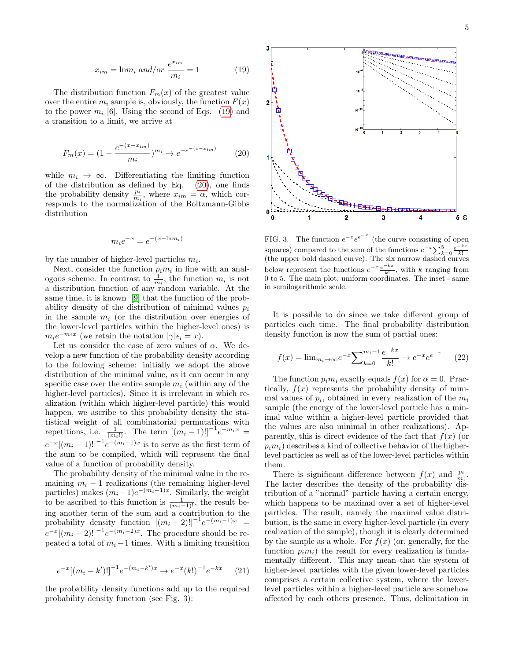<span id="page-4-0"></span>
$$
x_{im} = \ln m_i \ and/or \ \frac{e^{x_{im}}}{m_i} = 1 \tag{19}
$$

The distribution function  $F_m(x)$  of the greatest value over the entire  $m_i$  sample is, obviously, the function  $F(x)$ to the power  $m_i$  [6]. Using the second of Eqs. [\(19\)](#page-4-0) and a transition to a limit, we arrive at

<span id="page-4-1"></span>
$$
F_m(x) = (1 - \frac{e^{-(x - x_{im})}}{m_i})^{m_i} \to e^{-e^{-(x - x_{im})}}
$$
(20)

while  $m_i \to \infty$ . Differentiating the limiting function of the distribution as defined by Eq. [\(20\)](#page-4-1), one finds the probability density  $\frac{p_i}{m_i}$ , where  $x_{im} = \alpha$ , which corresponds to the normalization of the Boltzmann-Gibbs distribution

$$
m_i e^{-x} = e^{-(x - \ln m_i)}
$$

by the number of higher-level particles  $m_i$ .

Next, consider the function  $p_i m_i$  in line with an analogous scheme. In contrast to  $\frac{1}{m_i}$ , the function  $m_i$  is not a distribution function of any random variable. At the same time, it is known [\[9\]](#page-9-8) that the function of the probability density of the distribution of minimal values  $p_i$ in the sample  $m_i$  (or the distribution over energies of the lower-level particles within the higher-level ones) is  $m_i e^{-m_i x}$  (we retain the notation  $|\gamma| \epsilon_i = x$ ).

Let us consider the case of zero values of  $\alpha$ . We develop a new function of the probability density according to the following scheme: initially we adopt the above distribution of the minimal value, as it can occur in any specific case over the entire sample  $m_i$  (within any of the higher-level particles). Since it is irrelevant in which realization (within which higher-level particle) this would happen, we ascribe to this probability density the statistical weight of all combinatorial permutations with repetitions, i.e.  $\frac{1}{(m_i!)}$ . The term  $[(m_i-1)!]^{-1}e^{-m_ix}$  =  $e^{-x}[(m_i-1)!]^{-1}e^{-(m_i-1)x}$  is to serve as the first term of the sum to be compiled, which will represent the final value of a function of probability density.

The probability density of the minimal value in the remaining  $m_i - 1$  realizations (the remaining higher-level particles) makes  $(m_i-1)e^{-(m_i-1)x}$ . Similarly, the weight to be ascribed to this function is  $\frac{1}{(m_i-1)!}$ , the result being another term of the sum and a contribution to the probability density function  $[(m_i-2)!]^{-1}e^{-(m_i-1)x}$  =  $e^{-x}[(m_i-2)!]^{-1}e^{-(m_i-2)x}$ . The procedure should be repeated a total of  $m_i - 1$  times. With a limiting transition

$$
e^{-x}[(m_i - k')]^{-1}e^{-(m_i - k')x} \to e^{-x}(k!)^{-1}e^{-kx} \qquad (21)
$$

the probability density functions add up to the required probability density function (see Fig. 3):



FIG. 3. The function  $e^{-x}e^{e^{-x}}$  (the curve consisting of open squares) compared to the sum of the functions  $e^{-x} \sum_{k=0}^{5} \frac{e^{-kx}}{k!}$ (the upper bold dashed curve). The six narrow dashed curves below represent the functions  $e^{-x} \frac{e^{-kx}}{k!}$ , with k ranging from 0 to 5. The main plot, uniform coordinates. The inset - same in semilogarithmic scale.

It is possible to do since we take different group of particles each time. The final probability distribution density function is now the sum of partial ones:

$$
f(x) = \lim_{m_i \to \infty} e^{-x} \sum_{k=0}^{m_i - 1} \frac{e^{-kx}}{k!} \to e^{-x} e^{-x} \qquad (22)
$$

The function  $p_i m_i$  exactly equals  $f(x)$  for  $\alpha = 0$ . Practically,  $f(x)$  represents the probability density of minimal values of  $p_i$ , obtained in every realization of the  $m_i$ sample (the energy of the lower-level particle has a minimal value within a higher-level particle provided that the values are also minimal in other realizations). Apparently, this is direct evidence of the fact that  $f(x)$  (or  $p_i m_i$ ) describes a kind of collective behavior of the higherlevel particles as well as of the lower-level particles within them.

There is significant difference between  $f(x)$  and  $\frac{p_i}{m_i}$ . The latter describes the density of the probability distribution of a "normal" particle having a certain energy, which happens to be maximal over a set of higher-level particles. The result, namely the maximal value distribution, is the same in every higher-level particle (in every realization of the sample), though it is clearly determined by the sample as a whole. For  $f(x)$  (or, generally, for the function  $p_i m_i$ ) the result for every realization is fundamentally different. This may mean that the system of higher-level particles with the given lower-level particles comprises a certain collective system, where the lowerlevel particles within a higher-level particle are somehow affected by each others presence. Thus, delimitation in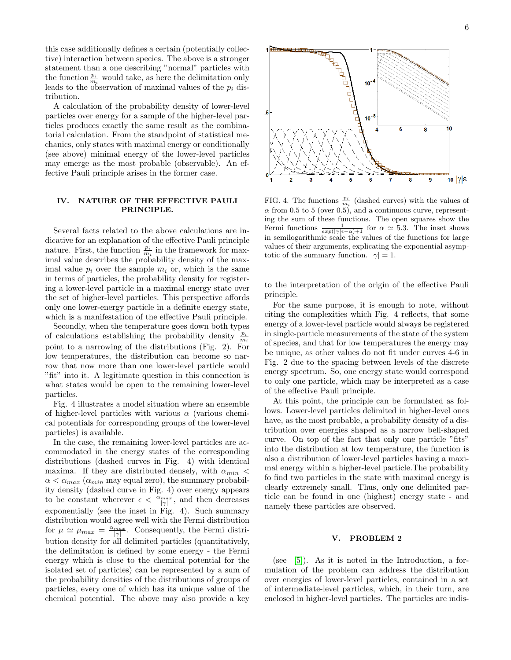this case additionally defines a certain (potentially collective) interaction between species. The above is a stronger statement than a one describing "normal" particles with the function  $\frac{p_i}{m_i}$  would take, as here the delimitation only leads to the observation of maximal values of the  $p_i$  distribution.

A calculation of the probability density of lower-level particles over energy for a sample of the higher-level particles produces exactly the same result as the combinatorial calculation. From the standpoint of statistical mechanics, only states with maximal energy or conditionally (see above) minimal energy of the lower-level particles may emerge as the most probable (observable). An effective Pauli principle arises in the former case.

## IV. NATURE OF THE EFFECTIVE PAULI PRINCIPLE.

Several facts related to the above calculations are indicative for an explanation of the effective Pauli principle nature. First, the function  $\frac{p_i}{m_i}$  in the framework for maximal value describes the probability density of the maximal value  $p_i$  over the sample  $m_i$  or, which is the same in terms of particles, the probability density for registering a lower-level particle in a maximal energy state over the set of higher-level particles. This perspective affords only one lower-energy particle in a definite energy state, which is a manifestation of the effective Pauli principle.

Secondly, when the temperature goes down both types of calculations establishing the probability density  $\frac{p_i}{m_i}$ point to a narrowing of the distributions (Fig. 2). For low temperatures, the distribution can become so narrow that now more than one lower-level particle would "fit" into it. A legitimate question in this connection is what states would be open to the remaining lower-level particles.

Fig. 4 illustrates a model situation where an ensemble of higher-level particles with various  $\alpha$  (various chemical potentials for corresponding groups of the lower-level particles) is available.

In the case, the remaining lower-level particles are accommodated in the energy states of the corresponding distributions (dashed curves in Fig. 4) with identical maxima. If they are distributed densely, with  $\alpha_{min}$  <  $\alpha < \alpha_{max}$  ( $\alpha_{min}$  may equal zero), the summary probability density (dashed curve in Fig. 4) over energy appears to be constant wherever  $\epsilon < \frac{\alpha_{max}}{|\gamma|}$ , and then decreases exponentially (see the inset in Fig. 4). Such summary distribution would agree well with the Fermi distribution for  $\mu \simeq \mu_{max} = \frac{\alpha_{max}}{|\gamma|}$ . Consequently, the Fermi distribution density for all delimited particles (quantitatively, the delimitation is defined by some energy - the Fermi energy which is close to the chemical potential for the isolated set of particles) can be represented by a sum of the probability densities of the distributions of groups of particles, every one of which has its unique value of the chemical potential. The above may also provide a key



FIG. 4. The functions  $\frac{p_i}{m_i}$  (dashed curves) with the values of  $\alpha$  from 0.5 to 5 (over 0.5), and a continuous curve, representing the sum of these functions. The open squares show the Fermi functions  $\frac{1}{exp(|\gamma|\epsilon-\alpha)+1}$  for  $\alpha \simeq 5.3$ . The inset shows in semilogarithmic scale the values of the functions for large values of their arguments, explicating the exponential asymptotic of the summary function.  $|\gamma|=1$ .

to the interpretation of the origin of the effective Pauli principle.

For the same purpose, it is enough to note, without citing the complexities which Fig. 4 reflects, that some energy of a lower-level particle would always be registered in single-particle measurements of the state of the system of species, and that for low temperatures the energy may be unique, as other values do not fit under curves 4-6 in Fig. 2 due to the spacing between levels of the discrete energy spectrum. So, one energy state would correspond to only one particle, which may be interpreted as a case of the effective Pauli principle.

At this point, the principle can be formulated as follows. Lower-level particles delimited in higher-level ones have, as the most probable, a probability density of a distribution over energies shaped as a narrow bell-shaped curve. On top of the fact that only one particle "fits" into the distribution at low temperature, the function is also a distribution of lower-level particles having a maximal energy within a higher-level particle.The probability fo find two particles in the state with maximal energy is clearly extremely small. Thus, only one delimited particle can be found in one (highest) energy state - and namely these particles are observed.

#### V. PROBLEM 2

(see  $[5]$ ). As it is noted in the Introduction, a formulation of the problem can address the distribution over energies of lower-level particles, contained in a set of intermediate-level particles, which, in their turn, are enclosed in higher-level particles. The particles are indis-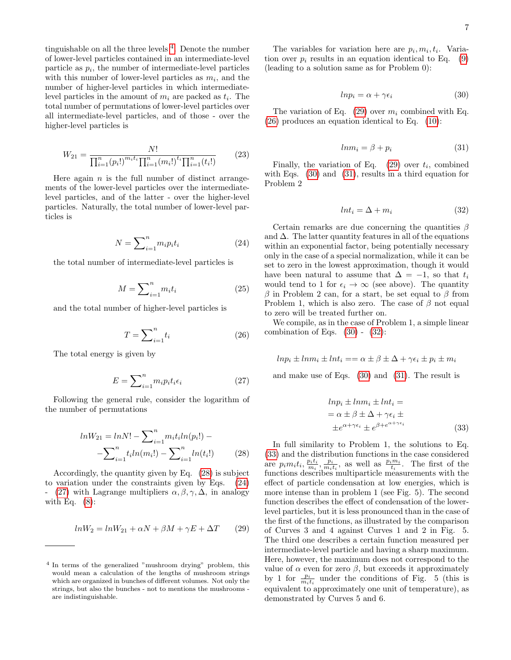tinguishable on all the three levels [4](#page-6-0) . Denote the number of lower-level particles contained in an intermediate-level particle as  $p_i$ , the number of intermediate-level particles with this number of lower-level particles as  $m_i$ , and the number of higher-level particles in which intermediatelevel particles in the amount of  $m_i$  are packed as  $t_i$ . The total number of permutations of lower-level particles over all intermediate-level particles, and of those - over the higher-level particles is

$$
W_{21} = \frac{N!}{\prod_{i=1}^{n} (p_i!)^{m_i t_i} \prod_{i=1}^{n} (m_i!)^{t_i} \prod_{i=1}^{n} (t_i!)}
$$
(23)

Here again  $n$  is the full number of distinct arrangements of the lower-level particles over the intermediatelevel particles, and of the latter - over the higher-level particles. Naturally, the total number of lower-level particles is

<span id="page-6-2"></span>
$$
N = \sum_{i=1}^{n} m_i p_i t_i \tag{24}
$$

the total number of intermediate-level particles is

$$
M = \sum_{i=1}^{n} m_i t_i \tag{25}
$$

and the total number of higher-level particles is

<span id="page-6-5"></span>
$$
T = \sum_{i=1}^{n} t_i \tag{26}
$$

The total energy is given by

<span id="page-6-3"></span>
$$
E = \sum_{i=1}^{n} m_i p_i t_i \epsilon_i \tag{27}
$$

Following the general rule, consider the logarithm of the number of permutations

<span id="page-6-1"></span>
$$
lnW_{21} = lnN! - \sum_{i=1}^{n} m_i t_i ln(p_i!) -
$$

$$
-\sum_{i=1}^{n} t_i ln(m_i!) - \sum_{i=1}^{n} ln(t_i!) \qquad (28)
$$

Accordingly, the quantity given by Eq. [\(28\)](#page-6-1) is subject to variation under the constraints given by Eqs. [\(24\)](#page-6-2) - [\(27\)](#page-6-3) with Lagrange multipliers  $\alpha, \beta, \gamma, \Delta$ , in analogy with Eq.  $(8)$ :

<span id="page-6-4"></span>
$$
lnW_2 = lnW_{21} + \alpha N + \beta M + \gamma E + \Delta T \qquad (29)
$$

The variables for variation here are  $p_i, m_i, t_i$ . Variation over  $p_i$  results in an equation identical to Eq. [\(9\)](#page-1-7) (leading to a solution same as for Problem 0):

<span id="page-6-6"></span>
$$
ln p_i = \alpha + \gamma \epsilon_i \tag{30}
$$

The variation of Eq. [\(29\)](#page-6-4) over  $m_i$  combined with Eq. [\(26\)](#page-6-5) produces an equation identical to Eq. [\(10\)](#page-1-8):

<span id="page-6-7"></span>
$$
ln m_i = \beta + p_i \tag{31}
$$

Finally, the variation of Eq.  $(29)$  over  $t_i$ , combined with Eqs.  $(30)$  and  $(31)$ , results in a third equation for Problem 2

<span id="page-6-8"></span>
$$
ln t_i = \Delta + m_i \tag{32}
$$

Certain remarks are due concerning the quantities  $\beta$ and  $\Delta$ . The latter quantity features in all of the equations within an exponential factor, being potentially necessary only in the case of a special normalization, while it can be set to zero in the lowest approximation, though it would have been natural to assume that  $\Delta = -1$ , so that  $t_i$ would tend to 1 for  $\epsilon_i \to \infty$  (see above). The quantity β in Problem 2 can, for a start, be set equal to β from Problem 1, which is also zero. The case of  $\beta$  not equal to zero will be treated further on.

We compile, as in the case of Problem 1, a simple linear combination of Eqs.  $(30)$  -  $(32)$ :

<span id="page-6-9"></span>
$$
ln p_i \pm l n_i \pm l n_i = \alpha \pm \beta \pm \Delta + \gamma \epsilon_i \pm p_i \pm m_i
$$

and make use of Eqs. [\(30\)](#page-6-6) and [\(31\)](#page-6-7). The result is

$$
ln p_i \pm l n m_i \pm l n t_i =
$$
  
=  $\alpha \pm \beta \pm \Delta + \gamma \epsilon_i \pm$   
 $\pm e^{\alpha + \gamma \epsilon_i} \pm e^{\beta + e^{\alpha + \gamma \epsilon_i}}$  (33)

In full similarity to Problem 1, the solutions to Eq. [\(33\)](#page-6-9) and the distribution functions in the case considered are  $p_i m_i t_i$ ,  $\frac{p_i t_i}{m_i}, \frac{p_i}{m_i t_i}$ , as well as  $\frac{p_i m_i}{t_i}$ . The first of the functions describes multiparticle measurements with the effect of particle condensation at low energies, which is more intense than in problem 1 (see Fig. 5). The second function describes the effect of condensation of the lowerlevel particles, but it is less pronounced than in the case of the first of the functions, as illustrated by the comparison of Curves 3 and 4 against Curves 1 and 2 in Fig. 5. The third one describes a certain function measured per intermediate-level particle and having a sharp maximum. Here, however, the maximum does not correspond to the value of  $\alpha$  even for zero  $\beta$ , but exceeds it approximately by 1 for  $\frac{p_i}{m_i t_i}$  under the conditions of Fig. 5 (this is equivalent to approximately one unit of temperature), as demonstrated by Curves 5 and 6.

<span id="page-6-0"></span><sup>4</sup> In terms of the generalized "mushroom drying" problem, this would mean a calculation of the lengths of mushroom strings which are organized in bunches of different volumes. Not only the strings, but also the bunches - not to mentions the mushrooms are indistinguishable.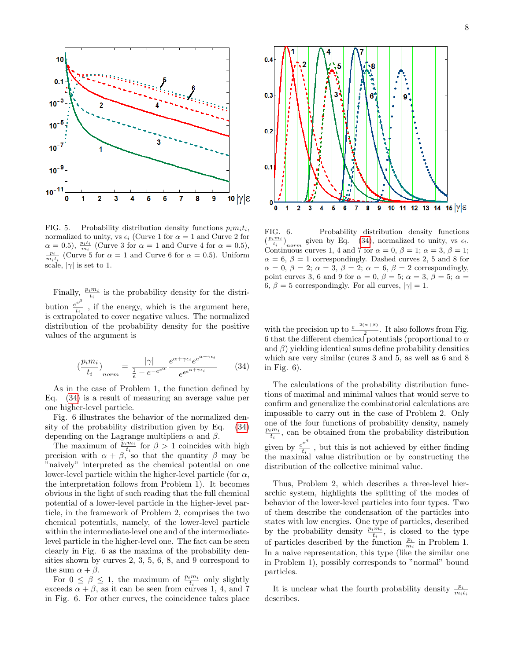

7

FIG. 5. Probability distribution density functions  $p_i m_i t_i$ , normalized to unity, vs  $\epsilon_i$  (Curve 1 for  $\alpha = 1$  and Curve 2 for  $\alpha = 0.5$ ,  $\frac{p_i t_i}{m_i}$  (Curve 3 for  $\alpha = 1$  and Curve 4 for  $\alpha = 0.5$ ),  $\frac{p_i}{m_i t_i}$  (Curve 5 for  $\alpha = 1$  and Curve 6 for  $\alpha = 0.5$ ). Uniform scale,  $|\gamma|$  is set to 1.

4

Finally,  $\frac{p_i m_i}{t_i}$  is the probability density for the distribution  $\frac{e^{e^{\beta}}}{t}$  $\frac{e}{t_i}$ , if the energy, which is the argument here, is extrapolated to cover negative values. The normalized distribution of the probability density for the positive values of the argument is

<span id="page-7-0"></span>
$$
\left(\frac{p_i m_i}{t_i}\right)_{norm} = \frac{|\gamma|}{\frac{1}{e} - e^{-e^{c\alpha}}} \frac{e^{\alpha + \gamma \epsilon_i} e^{e^{\alpha + \gamma \epsilon_i}}}{e^{e^{\alpha + \gamma \epsilon_i}}} \tag{34}
$$

As in the case of Problem 1, the function defined by Eq. [\(34\)](#page-7-0) is a result of measuring an average value per one higher-level particle.

Fig. 6 illustrates the behavior of the normalized density of the probability distribution given by Eq. [\(34\)](#page-7-0) depending on the Lagrange multipliers  $\alpha$  and  $\beta$ .

The maximum of  $\frac{\tilde{p}_i m_i}{t_i}$  for  $\beta > 1$  coincides with high precision with  $\alpha + \beta$ , so that the quantity  $\beta$  may be "naively" interpreted as the chemical potential on one lower-level particle within the higher-level particle (for  $\alpha$ , the interpretation follows from Problem 1). It becomes obvious in the light of such reading that the full chemical potential of a lower-level particle in the higher-level particle, in the framework of Problem 2, comprises the two chemical potentials, namely, of the lower-level particle within the intermediate-level one and of the intermediatelevel particle in the higher-level one. The fact can be seen clearly in Fig. 6 as the maxima of the probability densities shown by curves 2, 3, 5, 6, 8, and 9 correspond to the sum  $\alpha + \beta$ .

For  $0 \leq \beta \leq 1$ , the maximum of  $\frac{p_i m_i}{t_i}$  only slightly exceeds  $\alpha + \beta$ , as it can be seen from curves 1, 4, and 7 in Fig. 6. For other curves, the coincidence takes place



FIG. 6. Probability distribution density functions  $\left(\frac{p_i m_i}{t_i}\right)_{norm}$  given by Eq. [\(34\)](#page-7-0), normalized to unity, vs  $\epsilon_i$ . Continuous curves 1, 4 and 7 for  $\alpha = 0$ ,  $\beta = 1$ ;  $\alpha = 3$ ,  $\beta = 1$ ;  $\alpha = 6, \beta = 1$  correspondingly. Dashed curves 2, 5 and 8 for  $\alpha = 0, \beta = 2; \alpha = 3, \beta = 2; \alpha = 6, \beta = 2$  correspondingly, point curves 3, 6 and 9 for  $\alpha = 0$ ,  $\beta = 5$ ;  $\alpha = 3$ ,  $\beta = 5$ ;  $\alpha =$ 6,  $\beta = 5$  correspondingly. For all curves,  $|\gamma| = 1$ .

with the precision up to  $\frac{e^{-2(\alpha+\beta)}}{2}$  $\frac{a+\beta}{2}$ . It also follows from Fig. 6 that the different chemical potentials (proportional to  $\alpha$ and  $\beta$ ) yielding identical sums define probability densities which are very similar (cures 3 and 5, as well as 6 and 8 in Fig. 6).

The calculations of the probability distribution functions of maximal and minimal values that would serve to confirm and generalize the combinatorial calculations are impossible to carry out in the case of Problem 2. Only one of the four functions of probability density, namely  $\frac{p_i m_i}{t_i}$ , can be obtained from the probability distribution given by  $\frac{e^{e^{\beta}}}{t}$  $\frac{e}{t_i}$ , but this is not achieved by either finding the maximal value distribution or by constructing the distribution of the collective minimal value.

Thus, Problem 2, which describes a three-level hierarchic system, highlights the splitting of the modes of behavior of the lower-level particles into four types. Two of them describe the condensation of the particles into states with low energies. One type of particles, described by the probability density  $\frac{p_i m_i}{t_i}$ , is closed to the type of particles described by the function  $\frac{p_i}{m_i}$  in Problem 1. In a naive representation, this type (like the similar one in Problem 1), possibly corresponds to "normal" bound particles.

It is unclear what the fourth probability density  $\frac{p_i}{m_i t_i}$ describes.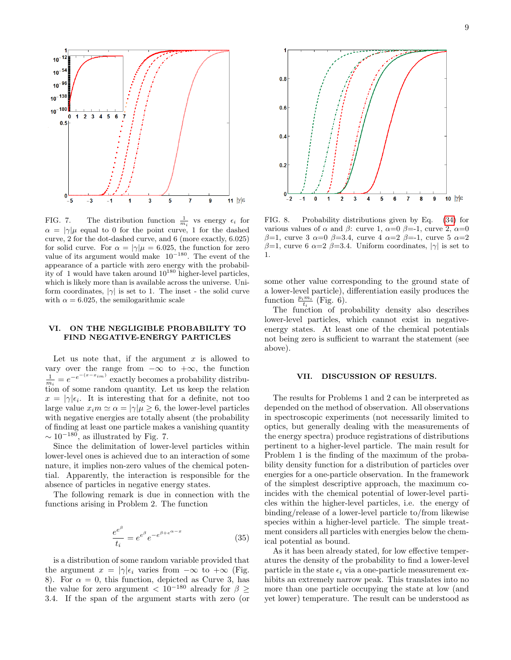

FIG. 7. The distribution function  $\frac{1}{m_i}$  vs energy  $\epsilon_i$  for  $\alpha = |\gamma|\mu$  equal to 0 for the point curve, 1 for the dashed curve, 2 for the dot-dashed curve, and 6 (more exactly, 6.025) for solid curve. For  $\alpha = |\gamma|\mu = 6.025$ , the function for zero value of its argument would make  $10^{-180}$ . The event of the appearance of a particle with zero energy with the probability of 1 would have taken around  $10^{180}$  higher-level particles, which is likely more than is available across the universe. Uniform coordinates,  $|\gamma|$  is set to 1. The inset - the solid curve with  $\alpha = 6.025$ , the semilogarithmic scale

## VI. ON THE NEGLIGIBLE PROBABILITY TO FIND NEGATIVE-ENERGY PARTICLES

Let us note that, if the argument  $x$  is allowed to vary over the range from  $-\infty$  to  $+\infty$ , the function  $\frac{1}{m_i} = e^{-e^{-(x-x_{im})}}$  exactly becomes a probability distribution of some random quantity. Let us keep the relation  $x = |\gamma| \epsilon_i$ . It is interesting that for a definite, not too large value  $x_i m \simeq \alpha = |\gamma| \mu \geq 6$ , the lower-level particles with negative energies are totally absent (the probability of finding at least one particle makes a vanishing quantity  $\sim 10^{-180}$ , as illustrated by Fig. 7.

Since the delimitation of lower-level particles within lower-level ones is achieved due to an interaction of some nature, it implies non-zero values of the chemical potential. Apparently, the interaction is responsible for the absence of particles in negative energy states.

The following remark is due in connection with the functions arising in Problem 2. The function

$$
\frac{e^{e^{\beta}}}{t_i} = e^{e^{\beta}} e^{-e^{\beta + e^{\alpha - x}}}
$$
\n(35)

is a distribution of some random variable provided that the argument  $x = |\gamma| \epsilon_i$  varies from  $-\infty$  to  $+\infty$  (Fig. 8). For  $\alpha = 0$ , this function, depicted as Curve 3, has the value for zero argument  $\langle 10^{-180}$  already for  $\beta$ 3.4. If the span of the argument starts with zero (or



FIG. 8. Probability distributions given by Eq. [\(34\)](#page-7-0) for various values of  $\alpha$  and  $\beta$ : curve 1,  $\alpha=0$   $\beta=-1$ , curve 2,  $\alpha=0$ β=1, curve 3  $\alpha=0$  β=3.4, curve 4  $\alpha=2$  β=-1, curve 5  $\alpha=2$ β=1, curve 6  $\alpha=2$  β=3.4. Uniform coordinates,  $|\gamma|$  is set to 1.

some other value corresponding to the ground state of a lower-level particle), differentiation easily produces the function  $\frac{p_i m_i}{t_i}$  (Fig. 6).

The function of probability density also describes lower-level particles, which cannot exist in negativeenergy states. At least one of the chemical potentials not being zero is sufficient to warrant the statement (see above).

#### VII. DISCUSSION OF RESULTS.

The results for Problems 1 and 2 can be interpreted as depended on the method of observation. All observations in spectroscopic experiments (not necessarily limited to optics, but generally dealing with the measurements of the energy spectra) produce registrations of distributions pertinent to a higher-level particle. The main result for Problem 1 is the finding of the maximum of the probability density function for a distribution of particles over energies for a one-particle observation. In the framework of the simplest descriptive approach, the maximum coincides with the chemical potential of lower-level particles within the higher-level particles, i.e. the energy of binding/release of a lower-level particle to/from likewise species within a higher-level particle. The simple treatment considers all particles with energies below the chemical potential as bound.

As it has been already stated, for low effective temperatures the density of the probability to find a lower-level particle in the state  $\epsilon_i$  via a one-particle measurement exhibits an extremely narrow peak. This translates into no more than one particle occupying the state at low (and yet lower) temperature. The result can be understood as